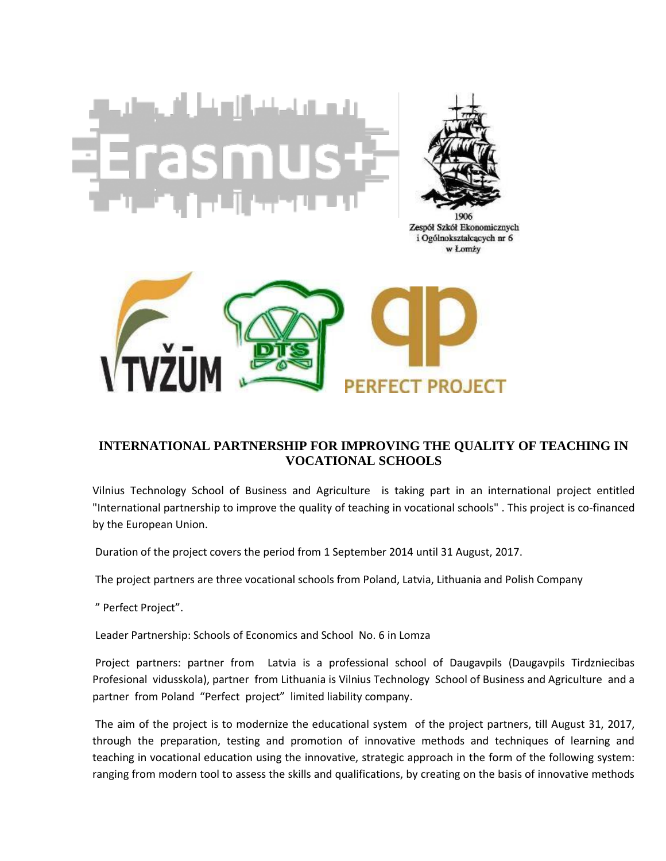

Zespół Szkół Ekonomicznych i Ogólnokształcących nr 6 w Łomży



## **[INTERNATIONAL PARTNERSHIP FOR IMPROVING THE QUALITY OF TEACHING IN](http://perfect-project.eu/wp-content/uploads/2014/10/E-_trame_opac100-szary.png)  [VOCATIONAL SCHOOLS](http://perfect-project.eu/wp-content/uploads/2014/10/E-_trame_opac100-szary.png)**

Vilnius Technology School of Business and Agriculture is taking part in an international project entitled "International partnership to improve the quality of teaching in vocational schools" . This project is co-financed by the European Union.

Duration of the project covers the period from 1 September 2014 until 31 August, 2017.

The project partners are three vocational schools from Poland, Latvia, Lithuania and Polish Company

" Perfect Project".

Leader Partnership: Schools of Economics and School No. 6 in Lomza

Project partners: partner from Latvia is a professional school of Daugavpils (Daugavpils Tirdzniecibas Profesional vidusskola), partner from Lithuania is Vilnius Technology School of Business and Agriculture and a partner from Poland "Perfect project" limited liability company.

The aim of the project is to modernize the educational system of the project partners, till August 31, 2017, through the preparation, testing and promotion of innovative methods and techniques of learning and teaching in vocational education using the innovative, strategic approach in the form of the following system: ranging from modern tool to assess the skills and qualifications, by creating on the basis of innovative methods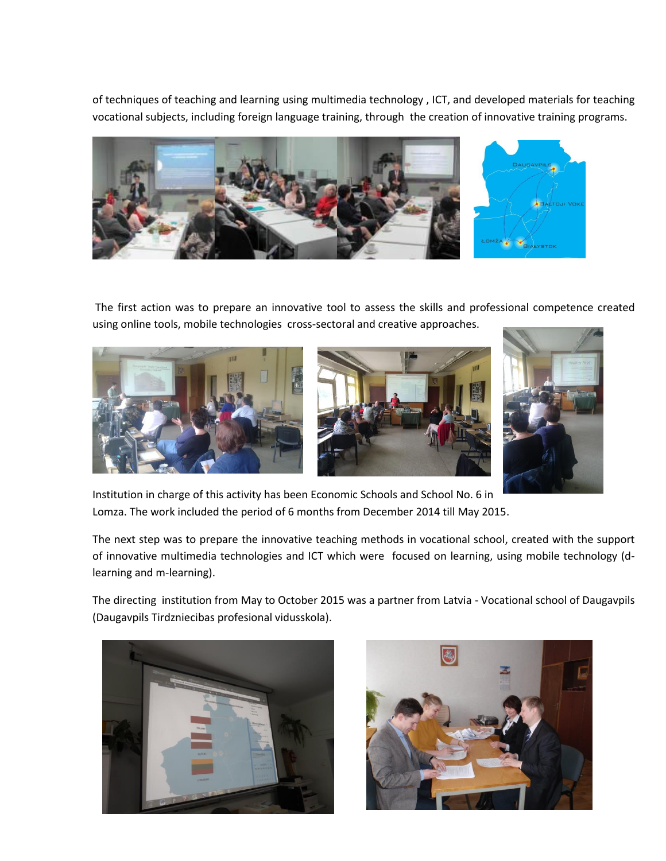of techniques of teaching and learning using multimedia technology , ICT, and developed materials for teaching vocational subjects, including foreign language training, through the creation of innovative training programs.



The first action was to prepare an innovative tool to assess the skills and professional competence created using online tools, mobile technologies cross-sectoral and creative approaches.







Institution in charge of this activity has been Economic Schools and School No. 6 in Lomza. The work included the period of 6 months from December 2014 till May 2015.

The next step was to prepare the innovative teaching methods in vocational school, created with the support of innovative multimedia technologies and ICT which were focused on learning, using mobile technology (dlearning and m-learning).

The directing institution from May to October 2015 was a partner from Latvia - Vocational school of Daugavpils (Daugavpils Tirdzniecibas profesional vidusskola).